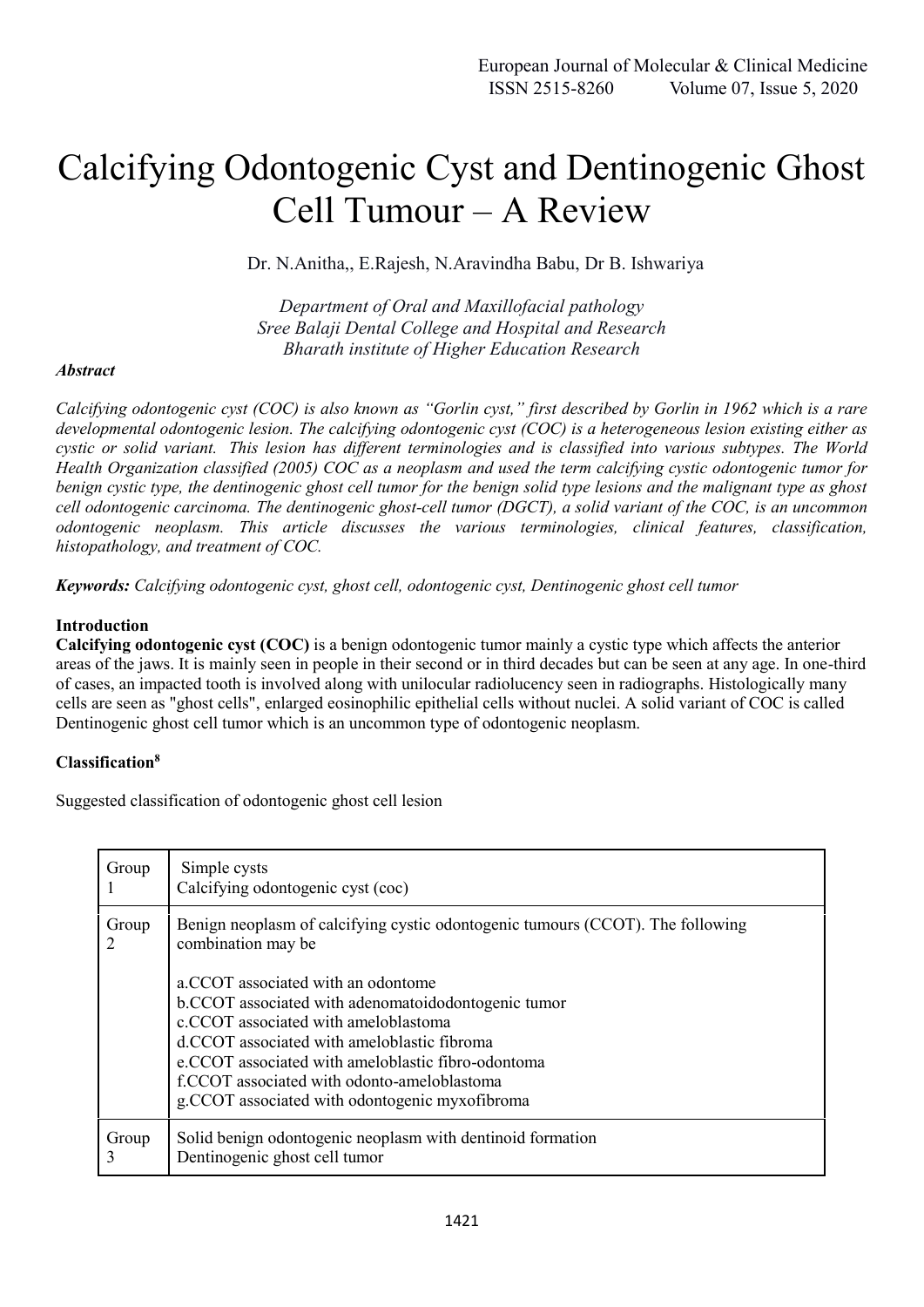# Calcifying Odontogenic Cyst and Dentinogenic Ghost Cell Tumour – A Review

Dr. N.Anitha,, E.Rajesh, N.Aravindha Babu, Dr B. Ishwariya

*Department of Oral and Maxillofacial pathology Sree Balaji Dental College and Hospital and Research Bharath institute of Higher Education Research*

## *Abstract*

*Calcifying odontogenic cyst (COC) is also known as "Gorlin cyst," first described by Gorlin in 1962 which is a rare developmental odontogenic lesion. The calcifying odontogenic cyst (COC) is a heterogeneous lesion existing either as cystic or solid variant. This lesion has different terminologies and is classified into various subtypes. The World Health Organization classified (2005) COC as a neoplasm and used the term calcifying cystic odontogenic tumor for benign cystic type, the dentinogenic ghost cell tumor for the benign solid type lesions and the malignant type as ghost cell odontogenic carcinoma. The dentinogenic ghost-cell tumor (DGCT), a solid variant of the COC, is an uncommon odontogenic neoplasm. This article discusses the various terminologies, clinical features, classification, histopathology, and treatment of COC.*

*Keywords: Calcifying odontogenic cyst, ghost cell, odontogenic cyst, Dentinogenic ghost cell tumor*

## **Introduction**

**Calcifying odontogenic cyst (COC)** is a benign odontogenic tumor mainly a cystic type which affects the anterior areas of the jaws. It is mainly seen in people in their second or in third decades but can be seen at any age. In one-third of cases, an impacted tooth is involved along with unilocular radiolucency seen in radiographs. Histologically many cells are seen as "ghost cells", enlarged eosinophilic epithelial cells without nuclei. A solid variant of COC is called Dentinogenic ghost cell tumor which is an uncommon type of odontogenic neoplasm.

## **Classification<sup>8</sup>**

Suggested classification of odontogenic ghost cell lesion

| Group      | Simple cysts<br>Calcifying odontogenic cyst (coc)                                                    |  |
|------------|------------------------------------------------------------------------------------------------------|--|
| Group      | Benign neoplasm of calcifying cystic odontogenic tumours (CCOT). The following<br>combination may be |  |
|            | a.CCOT associated with an odontome                                                                   |  |
|            | b.CCOT associated with adenomatoidodontogenic tumor                                                  |  |
|            | c.CCOT associated with ameloblastoma                                                                 |  |
|            | d.CCOT associated with ameloblastic fibroma                                                          |  |
|            | e.CCOT associated with ameloblastic fibro-odontoma                                                   |  |
|            | f.CCOT associated with odonto-ameloblastoma                                                          |  |
|            | g. CCOT associated with odontogenic myxofibroma                                                      |  |
| Group<br>3 | Solid benign odontogenic neoplasm with dentinoid formation<br>Dentinogenic ghost cell tumor          |  |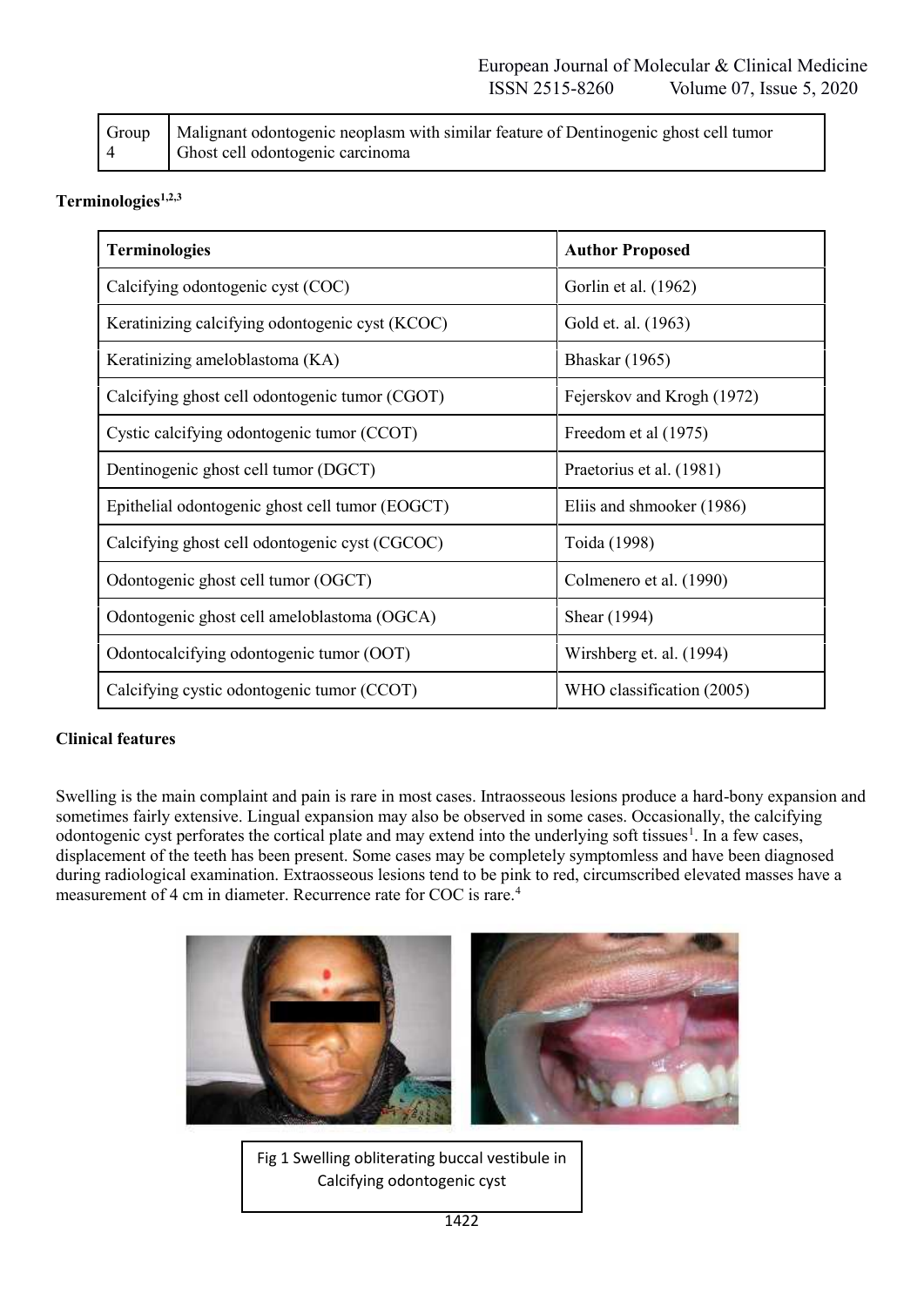|   | Group   Malignant odontogenic neoplasm with similar feature of Dentinogenic ghost cell tumor |
|---|----------------------------------------------------------------------------------------------|
| 4 | Ghost cell odontogenic carcinoma                                                             |

# **Terminologies1,2,3**

| <b>Terminologies</b>                            | <b>Author Proposed</b>     |
|-------------------------------------------------|----------------------------|
| Calcifying odontogenic cyst (COC)               | Gorlin et al. (1962)       |
| Keratinizing calcifying odontogenic cyst (KCOC) | Gold et. al. (1963)        |
| Keratinizing ameloblastoma (KA)                 | <b>Bhaskar</b> (1965)      |
| Calcifying ghost cell odontogenic tumor (CGOT)  | Fejerskov and Krogh (1972) |
| Cystic calcifying odontogenic tumor (CCOT)      | Freedom et al (1975)       |
| Dentinogenic ghost cell tumor (DGCT)            | Praetorius et al. (1981)   |
| Epithelial odontogenic ghost cell tumor (EOGCT) | Eliis and shmooker (1986)  |
| Calcifying ghost cell odontogenic cyst (CGCOC)  | Toida (1998)               |
| Odontogenic ghost cell tumor (OGCT)             | Colmenero et al. (1990)    |
| Odontogenic ghost cell ameloblastoma (OGCA)     | Shear (1994)               |
| Odontocalcifying odontogenic tumor (OOT)        | Wirshberg et. al. (1994)   |
| Calcifying cystic odontogenic tumor (CCOT)      | WHO classification (2005)  |

## **Clinical features**

Swelling is the main complaint and pain is rare in most cases. Intraosseous lesions produce a hard-bony expansion and sometimes fairly extensive. Lingual expansion may also be observed in some cases. Occasionally, the calcifying odontogenic cyst perforates the cortical plate and may extend into the underlying soft tissues<sup>1</sup>. In a few cases, displacement of the teeth has been present. Some cases may be completely symptomless and have been diagnosed during radiological examination. Extraosseous lesions tend to be pink to red, circumscribed elevated masses have a measurement of 4 cm in diameter. Recurrence rate for COC is rare.<sup>4</sup>



Fig 1 Swelling obliterating buccal vestibule in Calcifying odontogenic cyst

(COC)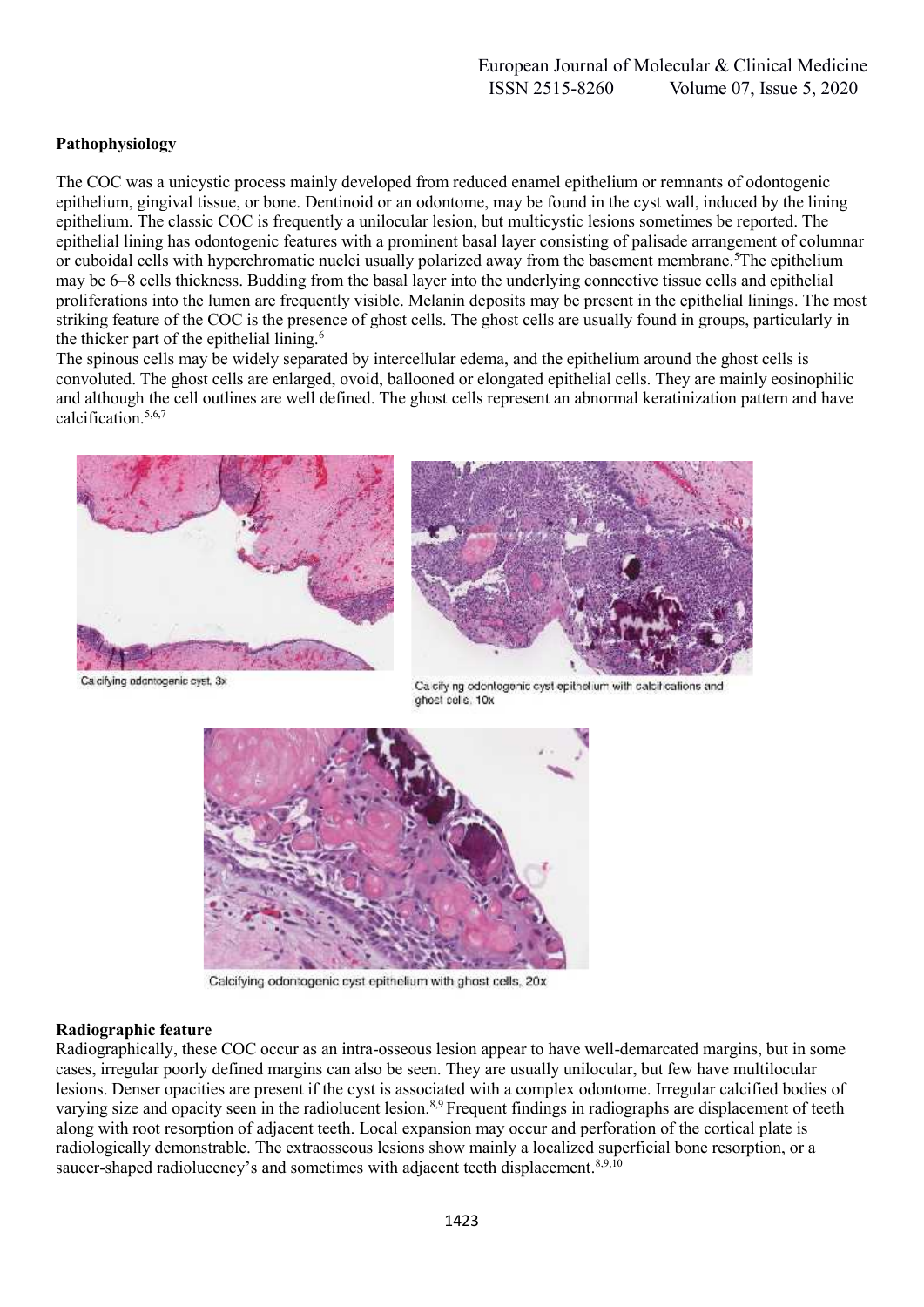# **Pathophysiology**

The COC was a unicystic process mainly developed from reduced enamel epithelium or remnants of odontogenic epithelium, gingival tissue, or bone. Dentinoid or an odontome, may be found in the cyst wall, induced by the lining epithelium. The classic COC is frequently a unilocular lesion, but multicystic lesions sometimes be reported. The epithelial lining has odontogenic features with a prominent basal layer consisting of palisade arrangement of columnar or cuboidal cells with hyperchromatic nuclei usually polarized away from the basement membrane.<sup>5</sup>The epithelium may be 6–8 cells thickness. Budding from the basal layer into the underlying connective tissue cells and epithelial proliferations into the lumen are frequently visible. Melanin deposits may be present in the epithelial linings. The most striking feature of the COC is the presence of ghost cells. The ghost cells are usually found in groups, particularly in the thicker part of the epithelial lining.<sup>6</sup>

The spinous cells may be widely separated by intercellular edema, and the epithelium around the ghost cells is convoluted. The ghost cells are enlarged, ovoid, ballooned or elongated epithelial cells. They are mainly eosinophilic and although the cell outlines are well defined. The ghost cells represent an abnormal keratinization pattern and have calcification.<sup>5,6,7</sup>





Calcifving odgntogenic cyst, 3x

Ca city ng odontogenic cyst epithelium with calcifications and ghost cells. 10x



Calcifying odontogenic cyst epithelium with ghost cells, 20x

#### **Radiographic feature**

Radiographically, these COC occur as an intra-osseous lesion appear to have well-demarcated margins, but in some cases, irregular poorly defined margins can also be seen. They are usually unilocular, but few have multilocular lesions. Denser opacities are present if the cyst is associated with a complex odontome. Irregular calcified bodies of varying size and opacity seen in the radiolucent lesion.<sup>8,9</sup> Frequent findings in radiographs are displacement of teeth along with root resorption of adjacent teeth. Local expansion may occur and perforation of the cortical plate is radiologically demonstrable. The extraosseous lesions show mainly a localized superficial bone resorption, or a saucer-shaped radiolucency's and sometimes with adjacent teeth displacement.<sup>8,9,10</sup>